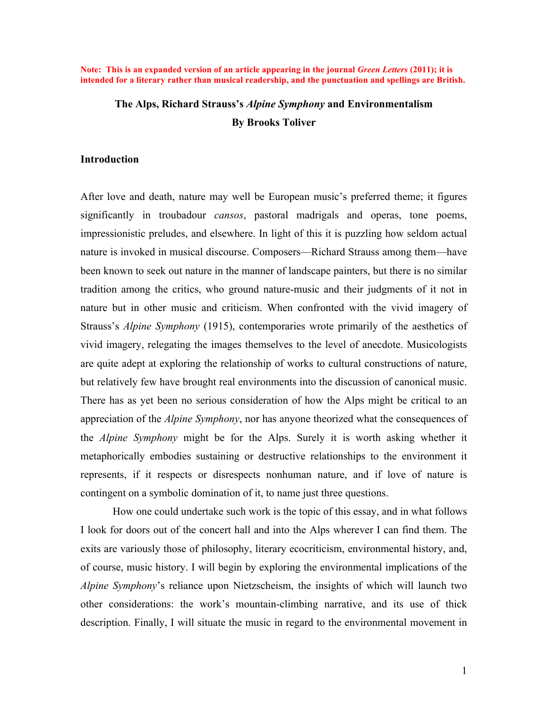**Note: This is an expanded version of an article appearing in the journal** *Green Letters* **(2011); it is intended for a literary rather than musical readership, and the punctuation and spellings are British.**

# **The Alps, Richard Strauss's** *Alpine Symphony* **and Environmentalism By Brooks Toliver**

# **Introduction**

After love and death, nature may well be European music's preferred theme; it figures significantly in troubadour *cansos*, pastoral madrigals and operas, tone poems, impressionistic preludes, and elsewhere. In light of this it is puzzling how seldom actual nature is invoked in musical discourse. Composers—Richard Strauss among them—have been known to seek out nature in the manner of landscape painters, but there is no similar tradition among the critics, who ground nature-music and their judgments of it not in nature but in other music and criticism. When confronted with the vivid imagery of Strauss's *Alpine Symphony* (1915), contemporaries wrote primarily of the aesthetics of vivid imagery, relegating the images themselves to the level of anecdote. Musicologists are quite adept at exploring the relationship of works to cultural constructions of nature, but relatively few have brought real environments into the discussion of canonical music. There has as yet been no serious consideration of how the Alps might be critical to an appreciation of the *Alpine Symphony*, nor has anyone theorized what the consequences of the *Alpine Symphony* might be for the Alps. Surely it is worth asking whether it metaphorically embodies sustaining or destructive relationships to the environment it represents, if it respects or disrespects nonhuman nature, and if love of nature is contingent on a symbolic domination of it, to name just three questions.

How one could undertake such work is the topic of this essay, and in what follows I look for doors out of the concert hall and into the Alps wherever I can find them. The exits are variously those of philosophy, literary ecocriticism, environmental history, and, of course, music history. I will begin by exploring the environmental implications of the *Alpine Symphony*'s reliance upon Nietzscheism, the insights of which will launch two other considerations: the work's mountain-climbing narrative, and its use of thick description. Finally, I will situate the music in regard to the environmental movement in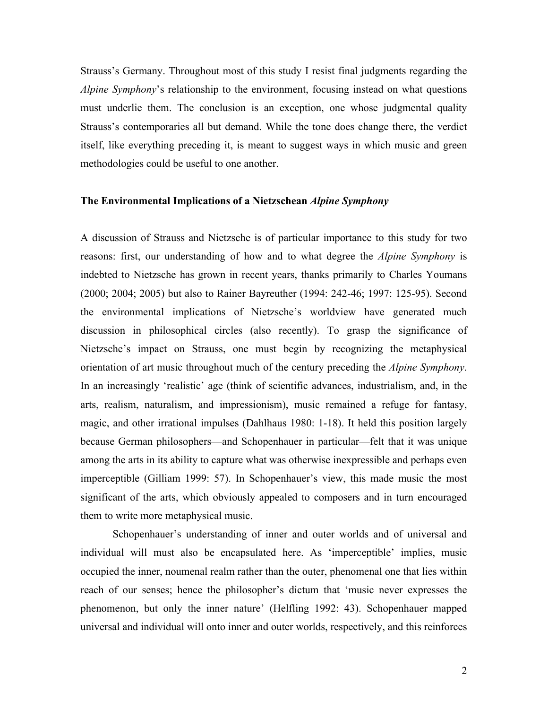Strauss's Germany. Throughout most of this study I resist final judgments regarding the *Alpine Symphony*'s relationship to the environment, focusing instead on what questions must underlie them. The conclusion is an exception, one whose judgmental quality Strauss's contemporaries all but demand. While the tone does change there, the verdict itself, like everything preceding it, is meant to suggest ways in which music and green methodologies could be useful to one another.

#### **The Environmental Implications of a Nietzschean** *Alpine Symphony*

A discussion of Strauss and Nietzsche is of particular importance to this study for two reasons: first, our understanding of how and to what degree the *Alpine Symphony* is indebted to Nietzsche has grown in recent years, thanks primarily to Charles Youmans (2000; 2004; 2005) but also to Rainer Bayreuther (1994: 242-46; 1997: 125-95). Second the environmental implications of Nietzsche's worldview have generated much discussion in philosophical circles (also recently). To grasp the significance of Nietzsche's impact on Strauss, one must begin by recognizing the metaphysical orientation of art music throughout much of the century preceding the *Alpine Symphony*. In an increasingly 'realistic' age (think of scientific advances, industrialism, and, in the arts, realism, naturalism, and impressionism), music remained a refuge for fantasy, magic, and other irrational impulses (Dahlhaus 1980: 1-18). It held this position largely because German philosophers—and Schopenhauer in particular—felt that it was unique among the arts in its ability to capture what was otherwise inexpressible and perhaps even imperceptible (Gilliam 1999: 57). In Schopenhauer's view, this made music the most significant of the arts, which obviously appealed to composers and in turn encouraged them to write more metaphysical music.

Schopenhauer's understanding of inner and outer worlds and of universal and individual will must also be encapsulated here. As 'imperceptible' implies, music occupied the inner, noumenal realm rather than the outer, phenomenal one that lies within reach of our senses; hence the philosopher's dictum that 'music never expresses the phenomenon, but only the inner nature' (Helfling 1992: 43). Schopenhauer mapped universal and individual will onto inner and outer worlds, respectively, and this reinforces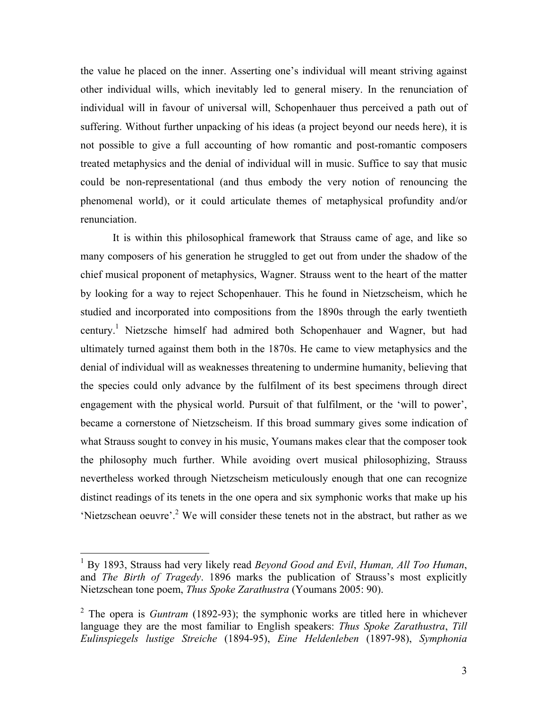the value he placed on the inner. Asserting one's individual will meant striving against other individual wills, which inevitably led to general misery. In the renunciation of individual will in favour of universal will, Schopenhauer thus perceived a path out of suffering. Without further unpacking of his ideas (a project beyond our needs here), it is not possible to give a full accounting of how romantic and post-romantic composers treated metaphysics and the denial of individual will in music. Suffice to say that music could be non-representational (and thus embody the very notion of renouncing the phenomenal world), or it could articulate themes of metaphysical profundity and/or renunciation.

It is within this philosophical framework that Strauss came of age, and like so many composers of his generation he struggled to get out from under the shadow of the chief musical proponent of metaphysics, Wagner. Strauss went to the heart of the matter by looking for a way to reject Schopenhauer. This he found in Nietzscheism, which he studied and incorporated into compositions from the 1890s through the early twentieth century. 1 Nietzsche himself had admired both Schopenhauer and Wagner, but had ultimately turned against them both in the 1870s. He came to view metaphysics and the denial of individual will as weaknesses threatening to undermine humanity, believing that the species could only advance by the fulfilment of its best specimens through direct engagement with the physical world. Pursuit of that fulfilment, or the 'will to power', became a cornerstone of Nietzscheism. If this broad summary gives some indication of what Strauss sought to convey in his music, Youmans makes clear that the composer took the philosophy much further. While avoiding overt musical philosophizing, Strauss nevertheless worked through Nietzscheism meticulously enough that one can recognize distinct readings of its tenets in the one opera and six symphonic works that make up his 'Nietzschean oeuvre'.<sup>2</sup> We will consider these tenets not in the abstract, but rather as we

<sup>&</sup>lt;sup>1</sup> By 1893, Strauss had very likely read *Beyond Good and Evil*, *Human, All Too Human*, and *The Birth of Tragedy*. 1896 marks the publication of Strauss's most explicitly Nietzschean tone poem, *Thus Spoke Zarathustra* (Youmans 2005: 90).

<sup>&</sup>lt;sup>2</sup> The opera is *Guntram* (1892-93); the symphonic works are titled here in whichever language they are the most familiar to English speakers: *Thus Spoke Zarathustra*, *Till Eulinspiegels lustige Streiche* (1894-95), *Eine Heldenleben* (1897-98), *Symphonia*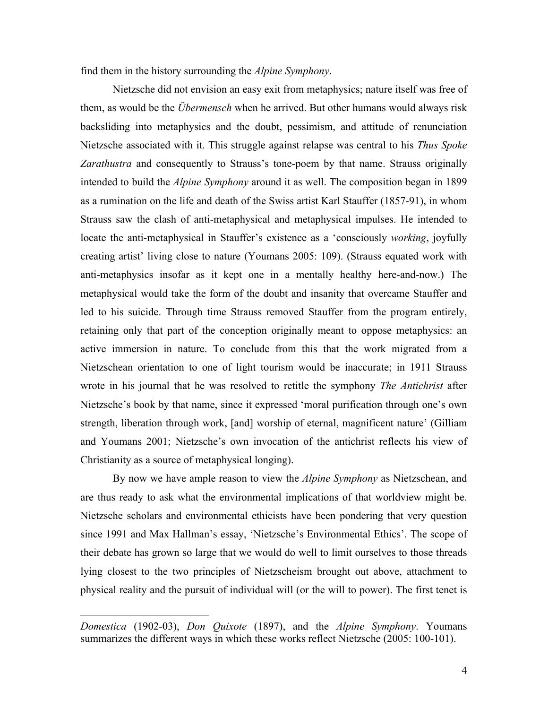find them in the history surrounding the *Alpine Symphony*.

Nietzsche did not envision an easy exit from metaphysics; nature itself was free of them, as would be the *Übermensch* when he arrived. But other humans would always risk backsliding into metaphysics and the doubt, pessimism, and attitude of renunciation Nietzsche associated with it. This struggle against relapse was central to his *Thus Spoke Zarathustra* and consequently to Strauss's tone-poem by that name. Strauss originally intended to build the *Alpine Symphony* around it as well. The composition began in 1899 as a rumination on the life and death of the Swiss artist Karl Stauffer (1857-91), in whom Strauss saw the clash of anti-metaphysical and metaphysical impulses. He intended to locate the anti-metaphysical in Stauffer's existence as a 'consciously *working*, joyfully creating artist' living close to nature (Youmans 2005: 109). (Strauss equated work with anti-metaphysics insofar as it kept one in a mentally healthy here-and-now.) The metaphysical would take the form of the doubt and insanity that overcame Stauffer and led to his suicide. Through time Strauss removed Stauffer from the program entirely, retaining only that part of the conception originally meant to oppose metaphysics: an active immersion in nature. To conclude from this that the work migrated from a Nietzschean orientation to one of light tourism would be inaccurate; in 1911 Strauss wrote in his journal that he was resolved to retitle the symphony *The Antichrist* after Nietzsche's book by that name, since it expressed 'moral purification through one's own strength, liberation through work, [and] worship of eternal, magnificent nature' (Gilliam and Youmans 2001; Nietzsche's own invocation of the antichrist reflects his view of Christianity as a source of metaphysical longing).

By now we have ample reason to view the *Alpine Symphony* as Nietzschean, and are thus ready to ask what the environmental implications of that worldview might be. Nietzsche scholars and environmental ethicists have been pondering that very question since 1991 and Max Hallman's essay, 'Nietzsche's Environmental Ethics'. The scope of their debate has grown so large that we would do well to limit ourselves to those threads lying closest to the two principles of Nietzscheism brought out above, attachment to physical reality and the pursuit of individual will (or the will to power). The first tenet is

!!!!!!!!!!!!!!!!!!!!!!!!!!!!!!!!!!!!!!!!!!!!!!!!!!!!!!!

*Domestica* (1902-03), *Don Quixote* (1897), and the *Alpine Symphony*. Youmans summarizes the different ways in which these works reflect Nietzsche (2005: 100-101).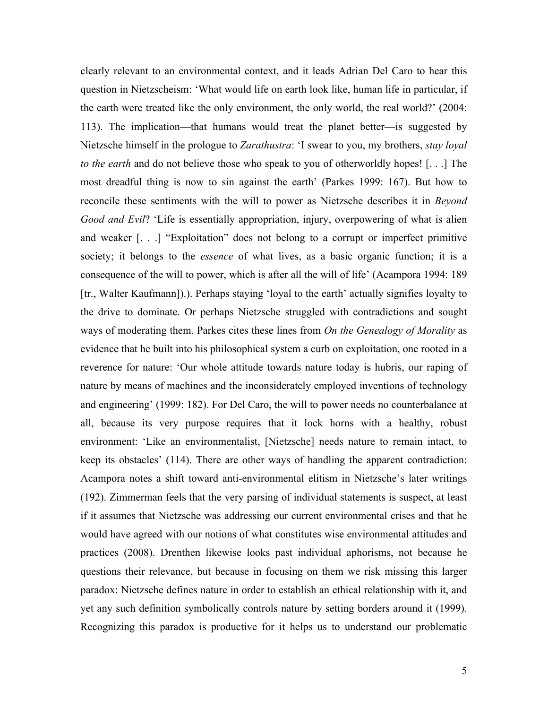clearly relevant to an environmental context, and it leads Adrian Del Caro to hear this question in Nietzscheism: 'What would life on earth look like, human life in particular, if the earth were treated like the only environment, the only world, the real world?' (2004: 113). The implication—that humans would treat the planet better—is suggested by Nietzsche himself in the prologue to *Zarathustra*: 'I swear to you, my brothers, *stay loyal to the earth* and do not believe those who speak to you of otherworldly hopes! [. . .] The most dreadful thing is now to sin against the earth' (Parkes 1999: 167). But how to reconcile these sentiments with the will to power as Nietzsche describes it in *Beyond Good and Evil*? 'Life is essentially appropriation, injury, overpowering of what is alien and weaker [. . .] "Exploitation" does not belong to a corrupt or imperfect primitive society; it belongs to the *essence* of what lives, as a basic organic function; it is a consequence of the will to power, which is after all the will of life' (Acampora 1994: 189 [tr., Walter Kaufmann]).). Perhaps staying 'loyal to the earth' actually signifies loyalty to the drive to dominate. Or perhaps Nietzsche struggled with contradictions and sought ways of moderating them. Parkes cites these lines from *On the Genealogy of Morality* as evidence that he built into his philosophical system a curb on exploitation, one rooted in a reverence for nature: 'Our whole attitude towards nature today is hubris, our raping of nature by means of machines and the inconsiderately employed inventions of technology and engineering' (1999: 182). For Del Caro, the will to power needs no counterbalance at all, because its very purpose requires that it lock horns with a healthy, robust environment: 'Like an environmentalist, [Nietzsche] needs nature to remain intact, to keep its obstacles' (114). There are other ways of handling the apparent contradiction: Acampora notes a shift toward anti-environmental elitism in Nietzsche's later writings (192). Zimmerman feels that the very parsing of individual statements is suspect, at least if it assumes that Nietzsche was addressing our current environmental crises and that he would have agreed with our notions of what constitutes wise environmental attitudes and practices (2008). Drenthen likewise looks past individual aphorisms, not because he questions their relevance, but because in focusing on them we risk missing this larger paradox: Nietzsche defines nature in order to establish an ethical relationship with it, and yet any such definition symbolically controls nature by setting borders around it (1999). Recognizing this paradox is productive for it helps us to understand our problematic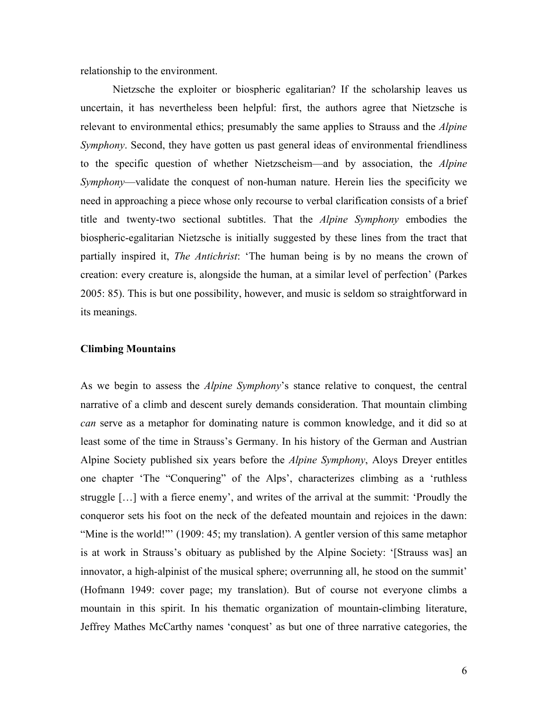relationship to the environment.

Nietzsche the exploiter or biospheric egalitarian? If the scholarship leaves us uncertain, it has nevertheless been helpful: first, the authors agree that Nietzsche is relevant to environmental ethics; presumably the same applies to Strauss and the *Alpine Symphony*. Second, they have gotten us past general ideas of environmental friendliness to the specific question of whether Nietzscheism—and by association, the *Alpine Symphony*—validate the conquest of non-human nature. Herein lies the specificity we need in approaching a piece whose only recourse to verbal clarification consists of a brief title and twenty-two sectional subtitles. That the *Alpine Symphony* embodies the biospheric-egalitarian Nietzsche is initially suggested by these lines from the tract that partially inspired it, *The Antichrist*: 'The human being is by no means the crown of creation: every creature is, alongside the human, at a similar level of perfection' (Parkes 2005: 85). This is but one possibility, however, and music is seldom so straightforward in its meanings.

# **Climbing Mountains**

As we begin to assess the *Alpine Symphony*'s stance relative to conquest, the central narrative of a climb and descent surely demands consideration. That mountain climbing *can* serve as a metaphor for dominating nature is common knowledge, and it did so at least some of the time in Strauss's Germany. In his history of the German and Austrian Alpine Society published six years before the *Alpine Symphony*, Aloys Dreyer entitles one chapter 'The "Conquering" of the Alps', characterizes climbing as a 'ruthless struggle […] with a fierce enemy', and writes of the arrival at the summit: 'Proudly the conqueror sets his foot on the neck of the defeated mountain and rejoices in the dawn: "Mine is the world!"" (1909: 45; my translation). A gentler version of this same metaphor is at work in Strauss's obituary as published by the Alpine Society: '[Strauss was] an innovator, a high-alpinist of the musical sphere; overrunning all, he stood on the summit' (Hofmann 1949: cover page; my translation). But of course not everyone climbs a mountain in this spirit. In his thematic organization of mountain-climbing literature, Jeffrey Mathes McCarthy names 'conquest' as but one of three narrative categories, the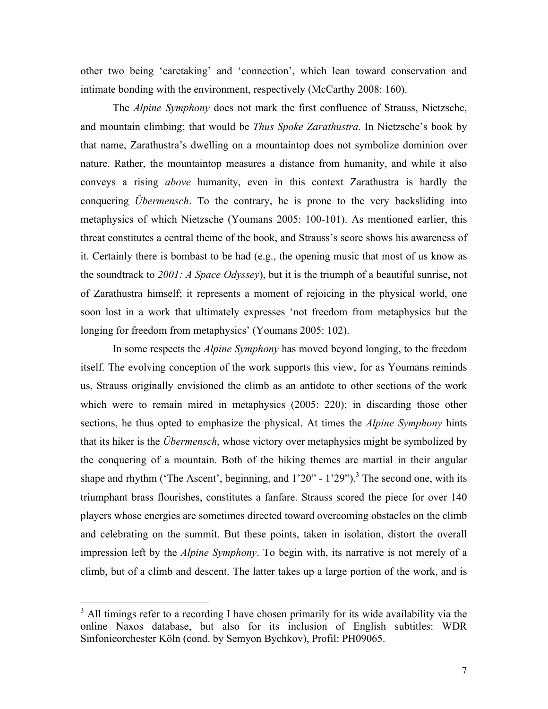other two being 'caretaking' and 'connection', which lean toward conservation and intimate bonding with the environment, respectively (McCarthy 2008: 160).

The *Alpine Symphony* does not mark the first confluence of Strauss, Nietzsche, and mountain climbing; that would be *Thus Spoke Zarathustra*. In Nietzsche's book by that name, Zarathustra's dwelling on a mountaintop does not symbolize dominion over nature. Rather, the mountaintop measures a distance from humanity, and while it also conveys a rising *above* humanity, even in this context Zarathustra is hardly the conquering *Übermensch*. To the contrary, he is prone to the very backsliding into metaphysics of which Nietzsche (Youmans 2005: 100-101). As mentioned earlier, this threat constitutes a central theme of the book, and Strauss's score shows his awareness of it. Certainly there is bombast to be had (e.g., the opening music that most of us know as the soundtrack to *2001: A Space Odyssey*), but it is the triumph of a beautiful sunrise, not of Zarathustra himself; it represents a moment of rejoicing in the physical world, one soon lost in a work that ultimately expresses 'not freedom from metaphysics but the longing for freedom from metaphysics' (Youmans 2005: 102).

In some respects the *Alpine Symphony* has moved beyond longing, to the freedom itself. The evolving conception of the work supports this view, for as Youmans reminds us, Strauss originally envisioned the climb as an antidote to other sections of the work which were to remain mired in metaphysics (2005: 220); in discarding those other sections, he thus opted to emphasize the physical. At times the *Alpine Symphony* hints that its hiker is the *Übermensch*, whose victory over metaphysics might be symbolized by the conquering of a mountain. Both of the hiking themes are martial in their angular shape and rhythm ('The Ascent', beginning, and  $1'20'' - 1'29''$ ).<sup>3</sup> The second one, with its triumphant brass flourishes, constitutes a fanfare. Strauss scored the piece for over 140 players whose energies are sometimes directed toward overcoming obstacles on the climb and celebrating on the summit. But these points, taken in isolation, distort the overall impression left by the *Alpine Symphony*. To begin with, its narrative is not merely of a climb, but of a climb and descent. The latter takes up a large portion of the work, and is

 $3$  All timings refer to a recording I have chosen primarily for its wide availability via the online Naxos database, but also for its inclusion of English subtitles: WDR Sinfonieorchester Köln (cond. by Semyon Bychkov), Profil: PH09065.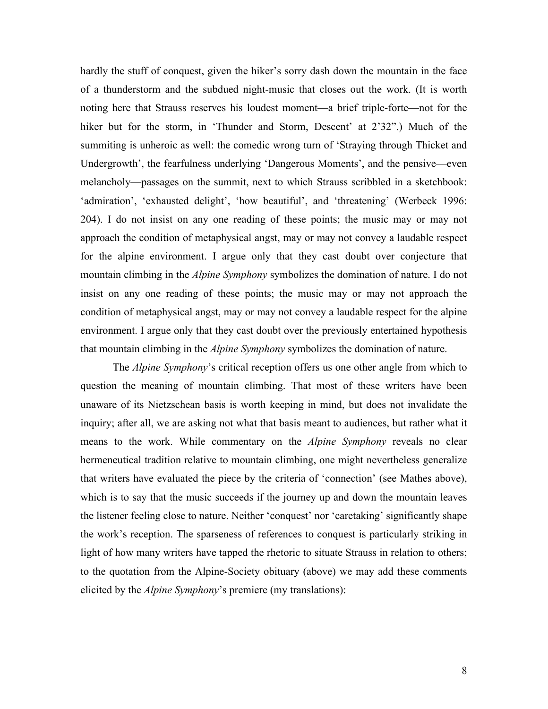hardly the stuff of conquest, given the hiker's sorry dash down the mountain in the face of a thunderstorm and the subdued night-music that closes out the work. (It is worth noting here that Strauss reserves his loudest moment—a brief triple-forte—not for the hiker but for the storm, in 'Thunder and Storm, Descent' at 2'32".) Much of the summiting is unheroic as well: the comedic wrong turn of 'Straying through Thicket and Undergrowth', the fearfulness underlying 'Dangerous Moments', and the pensive—even melancholy—passages on the summit, next to which Strauss scribbled in a sketchbook: 'admiration', 'exhausted delight', 'how beautiful', and 'threatening' (Werbeck 1996: 204). I do not insist on any one reading of these points; the music may or may not approach the condition of metaphysical angst, may or may not convey a laudable respect for the alpine environment. I argue only that they cast doubt over conjecture that mountain climbing in the *Alpine Symphony* symbolizes the domination of nature. I do not insist on any one reading of these points; the music may or may not approach the condition of metaphysical angst, may or may not convey a laudable respect for the alpine environment. I argue only that they cast doubt over the previously entertained hypothesis that mountain climbing in the *Alpine Symphony* symbolizes the domination of nature.

The *Alpine Symphony*'s critical reception offers us one other angle from which to question the meaning of mountain climbing. That most of these writers have been unaware of its Nietzschean basis is worth keeping in mind, but does not invalidate the inquiry; after all, we are asking not what that basis meant to audiences, but rather what it means to the work. While commentary on the *Alpine Symphony* reveals no clear hermeneutical tradition relative to mountain climbing, one might nevertheless generalize that writers have evaluated the piece by the criteria of 'connection' (see Mathes above), which is to say that the music succeeds if the journey up and down the mountain leaves the listener feeling close to nature. Neither 'conquest' nor 'caretaking' significantly shape the work's reception. The sparseness of references to conquest is particularly striking in light of how many writers have tapped the rhetoric to situate Strauss in relation to others; to the quotation from the Alpine-Society obituary (above) we may add these comments elicited by the *Alpine Symphony*'s premiere (my translations):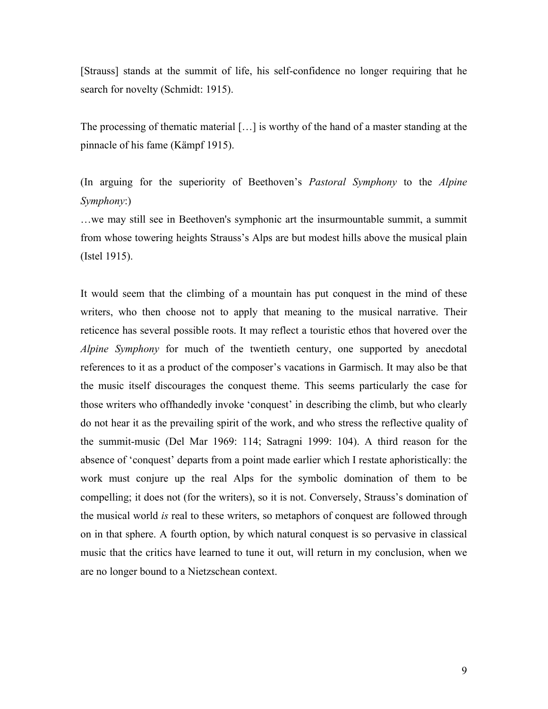[Strauss] stands at the summit of life, his self-confidence no longer requiring that he search for novelty (Schmidt: 1915).

The processing of thematic material […] is worthy of the hand of a master standing at the pinnacle of his fame (Kämpf 1915).

(In arguing for the superiority of Beethoven's *Pastoral Symphony* to the *Alpine Symphony*:)

…we may still see in Beethoven's symphonic art the insurmountable summit, a summit from whose towering heights Strauss's Alps are but modest hills above the musical plain (Istel 1915).

It would seem that the climbing of a mountain has put conquest in the mind of these writers, who then choose not to apply that meaning to the musical narrative. Their reticence has several possible roots. It may reflect a touristic ethos that hovered over the *Alpine Symphony* for much of the twentieth century, one supported by anecdotal references to it as a product of the composer's vacations in Garmisch. It may also be that the music itself discourages the conquest theme. This seems particularly the case for those writers who offhandedly invoke 'conquest' in describing the climb, but who clearly do not hear it as the prevailing spirit of the work, and who stress the reflective quality of the summit-music (Del Mar 1969: 114; Satragni 1999: 104). A third reason for the absence of 'conquest' departs from a point made earlier which I restate aphoristically: the work must conjure up the real Alps for the symbolic domination of them to be compelling; it does not (for the writers), so it is not. Conversely, Strauss's domination of the musical world *is* real to these writers, so metaphors of conquest are followed through on in that sphere. A fourth option, by which natural conquest is so pervasive in classical music that the critics have learned to tune it out, will return in my conclusion, when we are no longer bound to a Nietzschean context.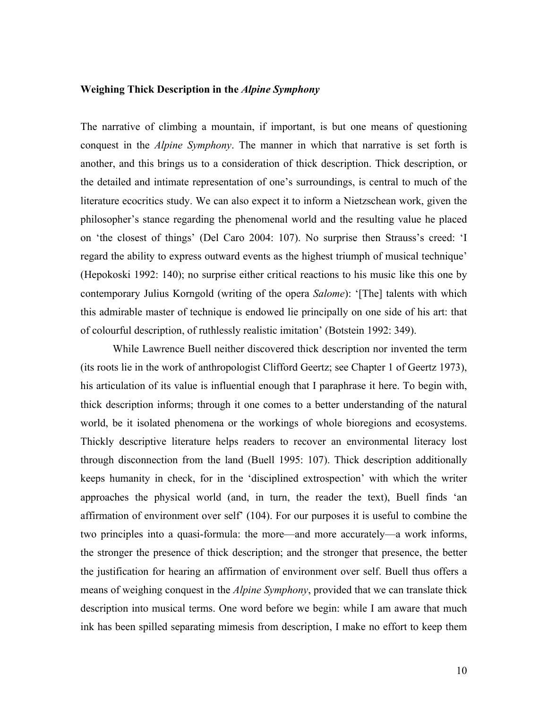## **Weighing Thick Description in the** *Alpine Symphony*

The narrative of climbing a mountain, if important, is but one means of questioning conquest in the *Alpine Symphony*. The manner in which that narrative is set forth is another, and this brings us to a consideration of thick description. Thick description, or the detailed and intimate representation of one's surroundings, is central to much of the literature ecocritics study. We can also expect it to inform a Nietzschean work, given the philosopher's stance regarding the phenomenal world and the resulting value he placed on 'the closest of things' (Del Caro 2004: 107). No surprise then Strauss's creed: 'I regard the ability to express outward events as the highest triumph of musical technique' (Hepokoski 1992: 140); no surprise either critical reactions to his music like this one by contemporary Julius Korngold (writing of the opera *Salome*): '[The] talents with which this admirable master of technique is endowed lie principally on one side of his art: that of colourful description, of ruthlessly realistic imitation' (Botstein 1992: 349).

While Lawrence Buell neither discovered thick description nor invented the term (its roots lie in the work of anthropologist Clifford Geertz; see Chapter 1 of Geertz 1973), his articulation of its value is influential enough that I paraphrase it here. To begin with, thick description informs; through it one comes to a better understanding of the natural world, be it isolated phenomena or the workings of whole bioregions and ecosystems. Thickly descriptive literature helps readers to recover an environmental literacy lost through disconnection from the land (Buell 1995: 107). Thick description additionally keeps humanity in check, for in the 'disciplined extrospection' with which the writer approaches the physical world (and, in turn, the reader the text), Buell finds 'an affirmation of environment over self' (104). For our purposes it is useful to combine the two principles into a quasi-formula: the more—and more accurately—a work informs, the stronger the presence of thick description; and the stronger that presence, the better the justification for hearing an affirmation of environment over self. Buell thus offers a means of weighing conquest in the *Alpine Symphony*, provided that we can translate thick description into musical terms. One word before we begin: while I am aware that much ink has been spilled separating mimesis from description, I make no effort to keep them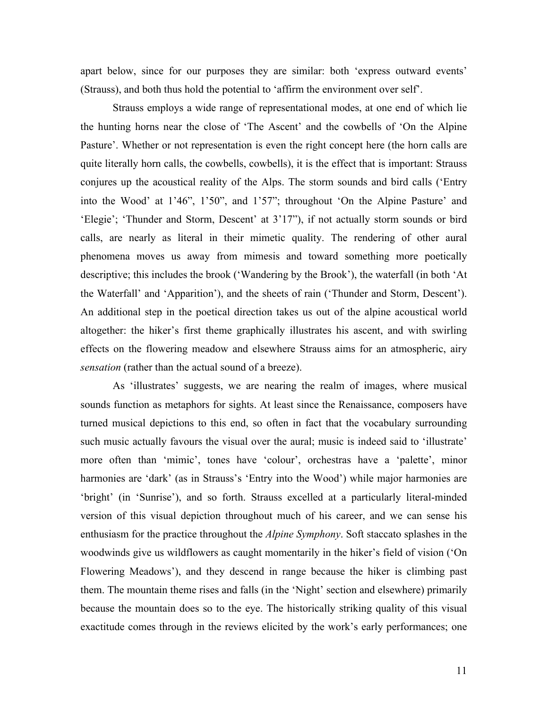apart below, since for our purposes they are similar: both 'express outward events' (Strauss), and both thus hold the potential to 'affirm the environment over self'.

Strauss employs a wide range of representational modes, at one end of which lie the hunting horns near the close of 'The Ascent' and the cowbells of 'On the Alpine Pasture'. Whether or not representation is even the right concept here (the horn calls are quite literally horn calls, the cowbells, cowbells), it is the effect that is important: Strauss conjures up the acoustical reality of the Alps. The storm sounds and bird calls ('Entry into the Wood' at 1'46", 1'50", and 1'57"; throughout 'On the Alpine Pasture' and 'Elegie'; 'Thunder and Storm, Descent' at 3'17"), if not actually storm sounds or bird calls, are nearly as literal in their mimetic quality. The rendering of other aural phenomena moves us away from mimesis and toward something more poetically descriptive; this includes the brook ('Wandering by the Brook'), the waterfall (in both 'At the Waterfall' and 'Apparition'), and the sheets of rain ('Thunder and Storm, Descent'). An additional step in the poetical direction takes us out of the alpine acoustical world altogether: the hiker's first theme graphically illustrates his ascent, and with swirling effects on the flowering meadow and elsewhere Strauss aims for an atmospheric, airy *sensation* (rather than the actual sound of a breeze).

As 'illustrates' suggests, we are nearing the realm of images, where musical sounds function as metaphors for sights. At least since the Renaissance, composers have turned musical depictions to this end, so often in fact that the vocabulary surrounding such music actually favours the visual over the aural; music is indeed said to 'illustrate' more often than 'mimic', tones have 'colour', orchestras have a 'palette', minor harmonies are 'dark' (as in Strauss's 'Entry into the Wood') while major harmonies are 'bright' (in 'Sunrise'), and so forth. Strauss excelled at a particularly literal-minded version of this visual depiction throughout much of his career, and we can sense his enthusiasm for the practice throughout the *Alpine Symphony*. Soft staccato splashes in the woodwinds give us wildflowers as caught momentarily in the hiker's field of vision ('On Flowering Meadows'), and they descend in range because the hiker is climbing past them. The mountain theme rises and falls (in the 'Night' section and elsewhere) primarily because the mountain does so to the eye. The historically striking quality of this visual exactitude comes through in the reviews elicited by the work's early performances; one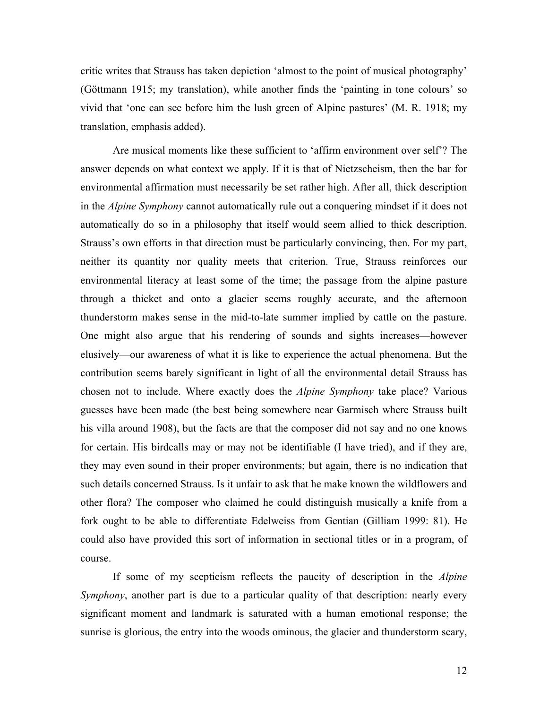critic writes that Strauss has taken depiction 'almost to the point of musical photography' (Göttmann 1915; my translation), while another finds the 'painting in tone colours' so vivid that 'one can see before him the lush green of Alpine pastures' (M. R. 1918; my translation, emphasis added).

Are musical moments like these sufficient to 'affirm environment over self'? The answer depends on what context we apply. If it is that of Nietzscheism, then the bar for environmental affirmation must necessarily be set rather high. After all, thick description in the *Alpine Symphony* cannot automatically rule out a conquering mindset if it does not automatically do so in a philosophy that itself would seem allied to thick description. Strauss's own efforts in that direction must be particularly convincing, then. For my part, neither its quantity nor quality meets that criterion. True, Strauss reinforces our environmental literacy at least some of the time; the passage from the alpine pasture through a thicket and onto a glacier seems roughly accurate, and the afternoon thunderstorm makes sense in the mid-to-late summer implied by cattle on the pasture. One might also argue that his rendering of sounds and sights increases—however elusively—our awareness of what it is like to experience the actual phenomena. But the contribution seems barely significant in light of all the environmental detail Strauss has chosen not to include. Where exactly does the *Alpine Symphony* take place? Various guesses have been made (the best being somewhere near Garmisch where Strauss built his villa around 1908), but the facts are that the composer did not say and no one knows for certain. His birdcalls may or may not be identifiable (I have tried), and if they are, they may even sound in their proper environments; but again, there is no indication that such details concerned Strauss. Is it unfair to ask that he make known the wildflowers and other flora? The composer who claimed he could distinguish musically a knife from a fork ought to be able to differentiate Edelweiss from Gentian (Gilliam 1999: 81). He could also have provided this sort of information in sectional titles or in a program, of course.

If some of my scepticism reflects the paucity of description in the *Alpine Symphony*, another part is due to a particular quality of that description: nearly every significant moment and landmark is saturated with a human emotional response; the sunrise is glorious, the entry into the woods ominous, the glacier and thunderstorm scary,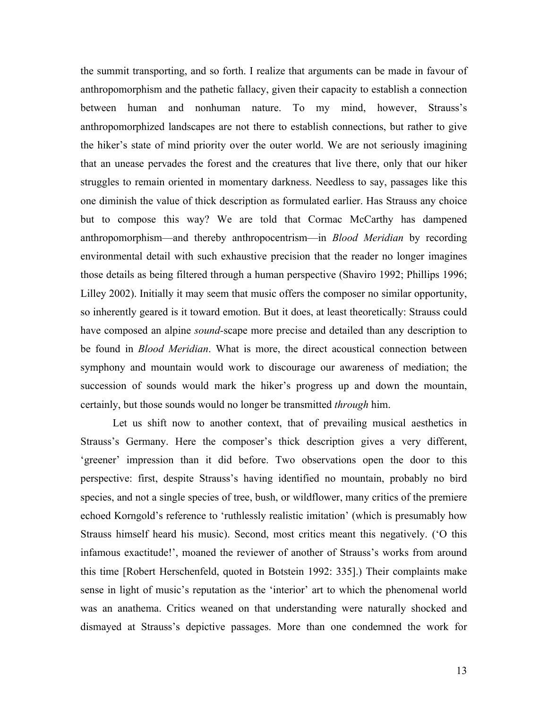the summit transporting, and so forth. I realize that arguments can be made in favour of anthropomorphism and the pathetic fallacy, given their capacity to establish a connection between human and nonhuman nature. To my mind, however, Strauss's anthropomorphized landscapes are not there to establish connections, but rather to give the hiker's state of mind priority over the outer world. We are not seriously imagining that an unease pervades the forest and the creatures that live there, only that our hiker struggles to remain oriented in momentary darkness. Needless to say, passages like this one diminish the value of thick description as formulated earlier. Has Strauss any choice but to compose this way? We are told that Cormac McCarthy has dampened anthropomorphism—and thereby anthropocentrism—in *Blood Meridian* by recording environmental detail with such exhaustive precision that the reader no longer imagines those details as being filtered through a human perspective (Shaviro 1992; Phillips 1996; Lilley 2002). Initially it may seem that music offers the composer no similar opportunity, so inherently geared is it toward emotion. But it does, at least theoretically: Strauss could have composed an alpine *sound-*scape more precise and detailed than any description to be found in *Blood Meridian*. What is more, the direct acoustical connection between symphony and mountain would work to discourage our awareness of mediation; the succession of sounds would mark the hiker's progress up and down the mountain, certainly, but those sounds would no longer be transmitted *through* him.

Let us shift now to another context, that of prevailing musical aesthetics in Strauss's Germany. Here the composer's thick description gives a very different, 'greener' impression than it did before. Two observations open the door to this perspective: first, despite Strauss's having identified no mountain, probably no bird species, and not a single species of tree, bush, or wildflower, many critics of the premiere echoed Korngold's reference to 'ruthlessly realistic imitation' (which is presumably how Strauss himself heard his music). Second, most critics meant this negatively. ('O this infamous exactitude!', moaned the reviewer of another of Strauss's works from around this time [Robert Herschenfeld, quoted in Botstein 1992: 335].) Their complaints make sense in light of music's reputation as the 'interior' art to which the phenomenal world was an anathema. Critics weaned on that understanding were naturally shocked and dismayed at Strauss's depictive passages. More than one condemned the work for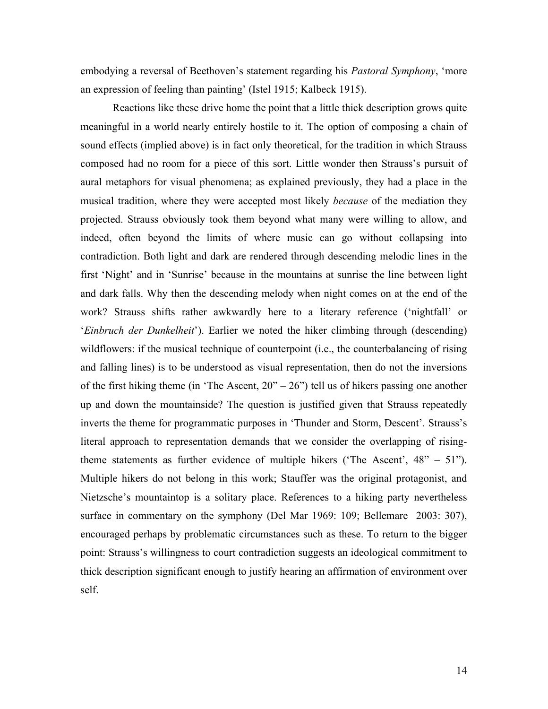embodying a reversal of Beethoven's statement regarding his *Pastoral Symphony*, 'more an expression of feeling than painting' (Istel 1915; Kalbeck 1915).

Reactions like these drive home the point that a little thick description grows quite meaningful in a world nearly entirely hostile to it. The option of composing a chain of sound effects (implied above) is in fact only theoretical, for the tradition in which Strauss composed had no room for a piece of this sort. Little wonder then Strauss's pursuit of aural metaphors for visual phenomena; as explained previously, they had a place in the musical tradition, where they were accepted most likely *because* of the mediation they projected. Strauss obviously took them beyond what many were willing to allow, and indeed, often beyond the limits of where music can go without collapsing into contradiction. Both light and dark are rendered through descending melodic lines in the first 'Night' and in 'Sunrise' because in the mountains at sunrise the line between light and dark falls. Why then the descending melody when night comes on at the end of the work? Strauss shifts rather awkwardly here to a literary reference ('nightfall' or '*Einbruch der Dunkelheit*'). Earlier we noted the hiker climbing through (descending) wildflowers: if the musical technique of counterpoint (i.e., the counterbalancing of rising and falling lines) is to be understood as visual representation, then do not the inversions of the first hiking theme (in 'The Ascent,  $20^{\prime\prime} - 26^{\prime\prime}$ ) tell us of hikers passing one another up and down the mountainside? The question is justified given that Strauss repeatedly inverts the theme for programmatic purposes in 'Thunder and Storm, Descent'. Strauss's literal approach to representation demands that we consider the overlapping of risingtheme statements as further evidence of multiple hikers ('The Ascent',  $48'' - 51$ ''). Multiple hikers do not belong in this work; Stauffer was the original protagonist, and Nietzsche's mountaintop is a solitary place. References to a hiking party nevertheless surface in commentary on the symphony (Del Mar 1969: 109; Bellemare 2003: 307), encouraged perhaps by problematic circumstances such as these. To return to the bigger point: Strauss's willingness to court contradiction suggests an ideological commitment to thick description significant enough to justify hearing an affirmation of environment over self.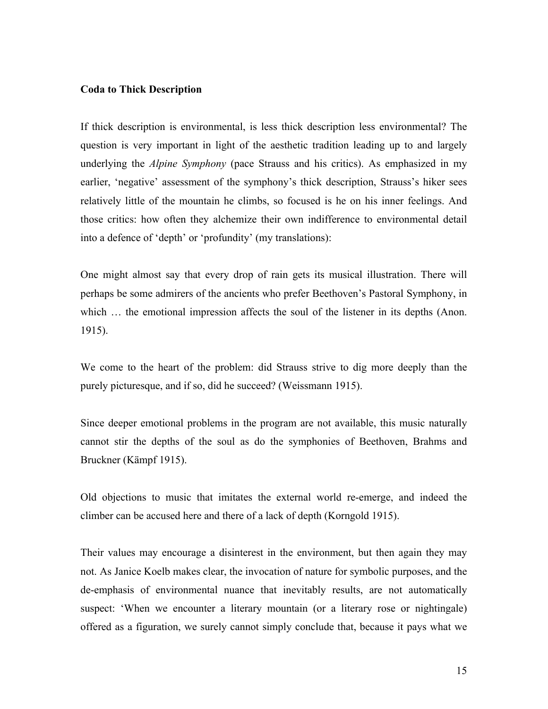## **Coda to Thick Description**

If thick description is environmental, is less thick description less environmental? The question is very important in light of the aesthetic tradition leading up to and largely underlying the *Alpine Symphony* (pace Strauss and his critics). As emphasized in my earlier, 'negative' assessment of the symphony's thick description, Strauss's hiker sees relatively little of the mountain he climbs, so focused is he on his inner feelings. And those critics: how often they alchemize their own indifference to environmental detail into a defence of 'depth' or 'profundity' (my translations):

One might almost say that every drop of rain gets its musical illustration. There will perhaps be some admirers of the ancients who prefer Beethoven's Pastoral Symphony, in which  $\ldots$  the emotional impression affects the soul of the listener in its depths (Anon. 1915).

We come to the heart of the problem: did Strauss strive to dig more deeply than the purely picturesque, and if so, did he succeed? (Weissmann 1915).

Since deeper emotional problems in the program are not available, this music naturally cannot stir the depths of the soul as do the symphonies of Beethoven, Brahms and Bruckner (Kämpf 1915).

Old objections to music that imitates the external world re-emerge, and indeed the climber can be accused here and there of a lack of depth (Korngold 1915).

Their values may encourage a disinterest in the environment, but then again they may not. As Janice Koelb makes clear, the invocation of nature for symbolic purposes, and the de-emphasis of environmental nuance that inevitably results, are not automatically suspect: 'When we encounter a literary mountain (or a literary rose or nightingale) offered as a figuration, we surely cannot simply conclude that, because it pays what we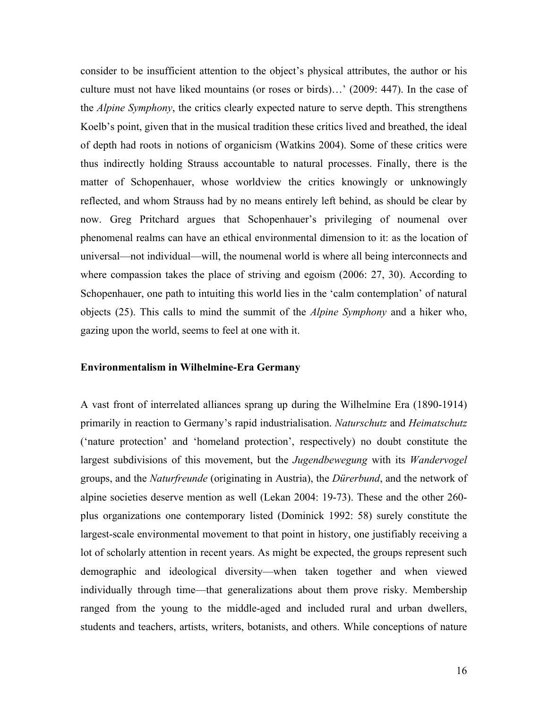consider to be insufficient attention to the object's physical attributes, the author or his culture must not have liked mountains (or roses or birds)…' (2009: 447). In the case of the *Alpine Symphony*, the critics clearly expected nature to serve depth. This strengthens Koelb's point, given that in the musical tradition these critics lived and breathed, the ideal of depth had roots in notions of organicism (Watkins 2004). Some of these critics were thus indirectly holding Strauss accountable to natural processes. Finally, there is the matter of Schopenhauer, whose worldview the critics knowingly or unknowingly reflected, and whom Strauss had by no means entirely left behind, as should be clear by now. Greg Pritchard argues that Schopenhauer's privileging of noumenal over phenomenal realms can have an ethical environmental dimension to it: as the location of universal—not individual—will, the noumenal world is where all being interconnects and where compassion takes the place of striving and egoism (2006: 27, 30). According to Schopenhauer, one path to intuiting this world lies in the 'calm contemplation' of natural objects (25). This calls to mind the summit of the *Alpine Symphony* and a hiker who, gazing upon the world, seems to feel at one with it.

### **Environmentalism in Wilhelmine-Era Germany**

A vast front of interrelated alliances sprang up during the Wilhelmine Era (1890-1914) primarily in reaction to Germany's rapid industrialisation. *Naturschutz* and *Heimatschutz*  ('nature protection' and 'homeland protection', respectively) no doubt constitute the largest subdivisions of this movement, but the *Jugendbewegung* with its *Wandervogel*  groups, and the *Naturfreunde* (originating in Austria), the *Dürerbund*, and the network of alpine societies deserve mention as well (Lekan 2004: 19-73). These and the other 260 plus organizations one contemporary listed (Dominick 1992: 58) surely constitute the largest-scale environmental movement to that point in history, one justifiably receiving a lot of scholarly attention in recent years. As might be expected, the groups represent such demographic and ideological diversity—when taken together and when viewed individually through time—that generalizations about them prove risky. Membership ranged from the young to the middle-aged and included rural and urban dwellers, students and teachers, artists, writers, botanists, and others. While conceptions of nature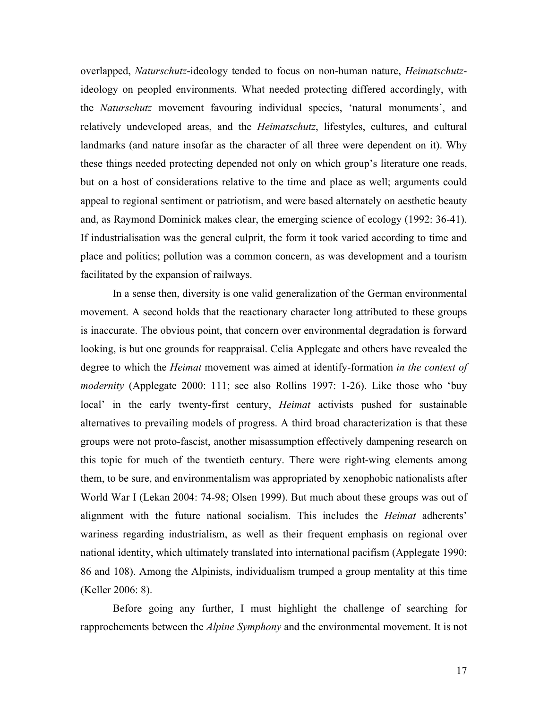overlapped, *Naturschutz*-ideology tended to focus on non-human nature, *Heimatschutz*ideology on peopled environments. What needed protecting differed accordingly, with the *Naturschutz* movement favouring individual species, 'natural monuments', and relatively undeveloped areas, and the *Heimatschutz*, lifestyles, cultures, and cultural landmarks (and nature insofar as the character of all three were dependent on it). Why these things needed protecting depended not only on which group's literature one reads, but on a host of considerations relative to the time and place as well; arguments could appeal to regional sentiment or patriotism, and were based alternately on aesthetic beauty and, as Raymond Dominick makes clear, the emerging science of ecology (1992: 36-41). If industrialisation was the general culprit, the form it took varied according to time and place and politics; pollution was a common concern, as was development and a tourism facilitated by the expansion of railways.

In a sense then, diversity is one valid generalization of the German environmental movement. A second holds that the reactionary character long attributed to these groups is inaccurate. The obvious point, that concern over environmental degradation is forward looking, is but one grounds for reappraisal. Celia Applegate and others have revealed the degree to which the *Heimat* movement was aimed at identify-formation *in the context of modernity* (Applegate 2000: 111; see also Rollins 1997: 1-26). Like those who 'buy local' in the early twenty-first century, *Heimat* activists pushed for sustainable alternatives to prevailing models of progress. A third broad characterization is that these groups were not proto-fascist, another misassumption effectively dampening research on this topic for much of the twentieth century. There were right-wing elements among them, to be sure, and environmentalism was appropriated by xenophobic nationalists after World War I (Lekan 2004: 74-98; Olsen 1999). But much about these groups was out of alignment with the future national socialism. This includes the *Heimat* adherents' wariness regarding industrialism, as well as their frequent emphasis on regional over national identity, which ultimately translated into international pacifism (Applegate 1990: 86 and 108). Among the Alpinists, individualism trumped a group mentality at this time (Keller 2006: 8).

Before going any further, I must highlight the challenge of searching for rapprochements between the *Alpine Symphony* and the environmental movement. It is not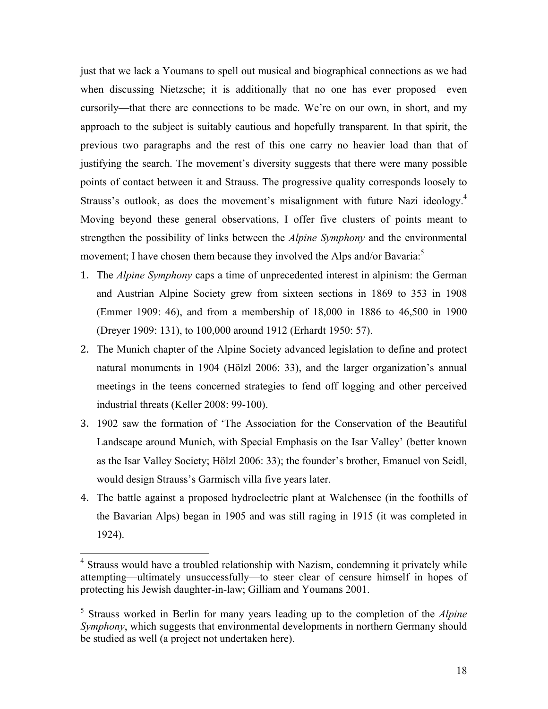just that we lack a Youmans to spell out musical and biographical connections as we had when discussing Nietzsche; it is additionally that no one has ever proposed—even cursorily—that there are connections to be made. We're on our own, in short, and my approach to the subject is suitably cautious and hopefully transparent. In that spirit, the previous two paragraphs and the rest of this one carry no heavier load than that of justifying the search. The movement's diversity suggests that there were many possible points of contact between it and Strauss. The progressive quality corresponds loosely to Strauss's outlook, as does the movement's misalignment with future Nazi ideology.<sup>4</sup> Moving beyond these general observations, I offer five clusters of points meant to strengthen the possibility of links between the *Alpine Symphony* and the environmental movement; I have chosen them because they involved the Alps and/or Bavaria:<sup>5</sup>

- 1. The *Alpine Symphony* caps a time of unprecedented interest in alpinism: the German and Austrian Alpine Society grew from sixteen sections in 1869 to 353 in 1908 (Emmer 1909: 46), and from a membership of 18,000 in 1886 to 46,500 in 1900 (Dreyer 1909: 131), to 100,000 around 1912 (Erhardt 1950: 57).
- 2. The Munich chapter of the Alpine Society advanced legislation to define and protect natural monuments in 1904 (Hölzl 2006: 33), and the larger organization's annual meetings in the teens concerned strategies to fend off logging and other perceived industrial threats (Keller 2008: 99-100).
- 3. 1902 saw the formation of 'The Association for the Conservation of the Beautiful Landscape around Munich, with Special Emphasis on the Isar Valley' (better known as the Isar Valley Society; Hölzl 2006: 33); the founder's brother, Emanuel von Seidl, would design Strauss's Garmisch villa five years later.
- 4. The battle against a proposed hydroelectric plant at Walchensee (in the foothills of the Bavarian Alps) began in 1905 and was still raging in 1915 (it was completed in 1924).

<sup>&</sup>lt;sup>4</sup> Strauss would have a troubled relationship with Nazism, condemning it privately while attempting—ultimately unsuccessfully—to steer clear of censure himself in hopes of protecting his Jewish daughter-in-law; Gilliam and Youmans 2001.

<sup>5</sup> Strauss worked in Berlin for many years leading up to the completion of the *Alpine Symphony*, which suggests that environmental developments in northern Germany should be studied as well (a project not undertaken here).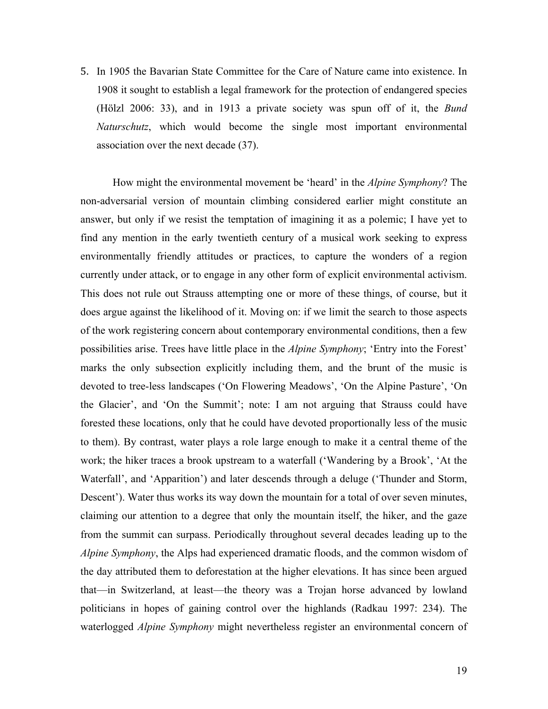5. In 1905 the Bavarian State Committee for the Care of Nature came into existence. In 1908 it sought to establish a legal framework for the protection of endangered species (Hölzl 2006: 33), and in 1913 a private society was spun off of it, the *Bund Naturschutz*, which would become the single most important environmental association over the next decade (37).

How might the environmental movement be 'heard' in the *Alpine Symphony*? The non-adversarial version of mountain climbing considered earlier might constitute an answer, but only if we resist the temptation of imagining it as a polemic; I have yet to find any mention in the early twentieth century of a musical work seeking to express environmentally friendly attitudes or practices, to capture the wonders of a region currently under attack, or to engage in any other form of explicit environmental activism. This does not rule out Strauss attempting one or more of these things, of course, but it does argue against the likelihood of it. Moving on: if we limit the search to those aspects of the work registering concern about contemporary environmental conditions, then a few possibilities arise. Trees have little place in the *Alpine Symphony*; 'Entry into the Forest' marks the only subsection explicitly including them, and the brunt of the music is devoted to tree-less landscapes ('On Flowering Meadows', 'On the Alpine Pasture', 'On the Glacier', and 'On the Summit'; note: I am not arguing that Strauss could have forested these locations, only that he could have devoted proportionally less of the music to them). By contrast, water plays a role large enough to make it a central theme of the work; the hiker traces a brook upstream to a waterfall ('Wandering by a Brook', 'At the Waterfall', and 'Apparition') and later descends through a deluge ('Thunder and Storm, Descent'). Water thus works its way down the mountain for a total of over seven minutes, claiming our attention to a degree that only the mountain itself, the hiker, and the gaze from the summit can surpass. Periodically throughout several decades leading up to the *Alpine Symphony*, the Alps had experienced dramatic floods, and the common wisdom of the day attributed them to deforestation at the higher elevations. It has since been argued that—in Switzerland, at least—the theory was a Trojan horse advanced by lowland politicians in hopes of gaining control over the highlands (Radkau 1997: 234). The waterlogged *Alpine Symphony* might nevertheless register an environmental concern of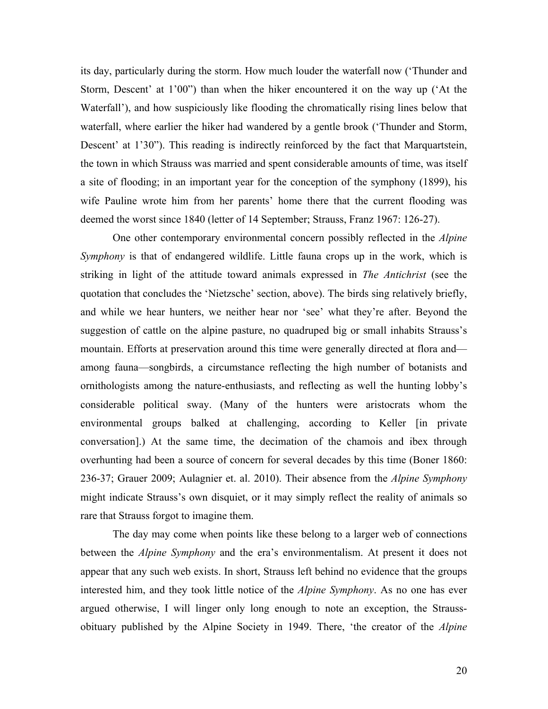its day, particularly during the storm. How much louder the waterfall now ('Thunder and Storm, Descent' at 1'00") than when the hiker encountered it on the way up ('At the Waterfall'), and how suspiciously like flooding the chromatically rising lines below that waterfall, where earlier the hiker had wandered by a gentle brook ('Thunder and Storm, Descent' at 1'30"). This reading is indirectly reinforced by the fact that Marquartstein, the town in which Strauss was married and spent considerable amounts of time, was itself a site of flooding; in an important year for the conception of the symphony (1899), his wife Pauline wrote him from her parents' home there that the current flooding was deemed the worst since 1840 (letter of 14 September; Strauss, Franz 1967: 126-27).

One other contemporary environmental concern possibly reflected in the *Alpine Symphony* is that of endangered wildlife. Little fauna crops up in the work, which is striking in light of the attitude toward animals expressed in *The Antichrist* (see the quotation that concludes the 'Nietzsche' section, above). The birds sing relatively briefly, and while we hear hunters, we neither hear nor 'see' what they're after. Beyond the suggestion of cattle on the alpine pasture, no quadruped big or small inhabits Strauss's mountain. Efforts at preservation around this time were generally directed at flora and among fauna—songbirds, a circumstance reflecting the high number of botanists and ornithologists among the nature-enthusiasts, and reflecting as well the hunting lobby's considerable political sway. (Many of the hunters were aristocrats whom the environmental groups balked at challenging, according to Keller [in private conversation].) At the same time, the decimation of the chamois and ibex through overhunting had been a source of concern for several decades by this time (Boner 1860: 236-37; Grauer 2009; Aulagnier et. al. 2010). Their absence from the *Alpine Symphony*  might indicate Strauss's own disquiet, or it may simply reflect the reality of animals so rare that Strauss forgot to imagine them.

The day may come when points like these belong to a larger web of connections between the *Alpine Symphony* and the era's environmentalism. At present it does not appear that any such web exists. In short, Strauss left behind no evidence that the groups interested him, and they took little notice of the *Alpine Symphony*. As no one has ever argued otherwise, I will linger only long enough to note an exception, the Straussobituary published by the Alpine Society in 1949. There, 'the creator of the *Alpine*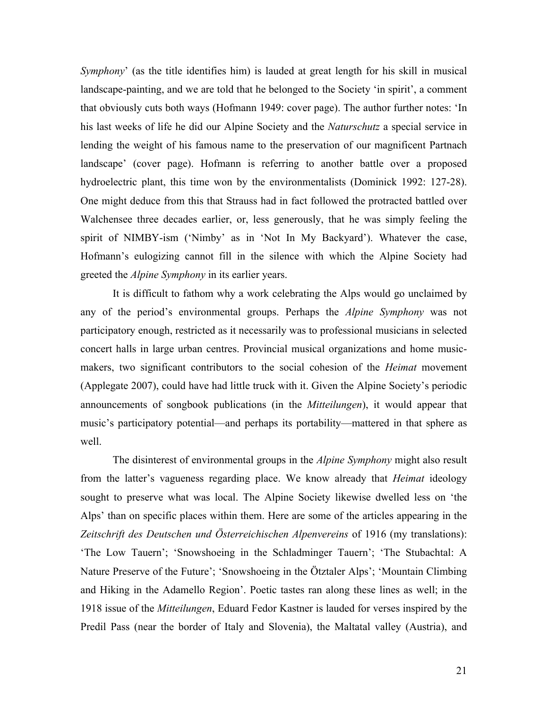*Symphony*' (as the title identifies him) is lauded at great length for his skill in musical landscape-painting, and we are told that he belonged to the Society 'in spirit', a comment that obviously cuts both ways (Hofmann 1949: cover page). The author further notes: 'In his last weeks of life he did our Alpine Society and the *Naturschutz* a special service in lending the weight of his famous name to the preservation of our magnificent Partnach landscape' (cover page). Hofmann is referring to another battle over a proposed hydroelectric plant, this time won by the environmentalists (Dominick 1992: 127-28). One might deduce from this that Strauss had in fact followed the protracted battled over Walchensee three decades earlier, or, less generously, that he was simply feeling the spirit of NIMBY-ism ('Nimby' as in 'Not In My Backyard'). Whatever the case, Hofmann's eulogizing cannot fill in the silence with which the Alpine Society had greeted the *Alpine Symphony* in its earlier years.

It is difficult to fathom why a work celebrating the Alps would go unclaimed by any of the period's environmental groups. Perhaps the *Alpine Symphony* was not participatory enough, restricted as it necessarily was to professional musicians in selected concert halls in large urban centres. Provincial musical organizations and home musicmakers, two significant contributors to the social cohesion of the *Heimat* movement (Applegate 2007), could have had little truck with it. Given the Alpine Society's periodic announcements of songbook publications (in the *Mitteilungen*), it would appear that music's participatory potential—and perhaps its portability—mattered in that sphere as well.

The disinterest of environmental groups in the *Alpine Symphony* might also result from the latter's vagueness regarding place. We know already that *Heimat* ideology sought to preserve what was local. The Alpine Society likewise dwelled less on 'the Alps' than on specific places within them. Here are some of the articles appearing in the *Zeitschrift des Deutschen und Österreichischen Alpenvereins* of 1916 (my translations): 'The Low Tauern'; 'Snowshoeing in the Schladminger Tauern'; 'The Stubachtal: A Nature Preserve of the Future'; 'Snowshoeing in the Ötztaler Alps'; 'Mountain Climbing and Hiking in the Adamello Region'. Poetic tastes ran along these lines as well; in the 1918 issue of the *Mitteilungen*, Eduard Fedor Kastner is lauded for verses inspired by the Predil Pass (near the border of Italy and Slovenia), the Maltatal valley (Austria), and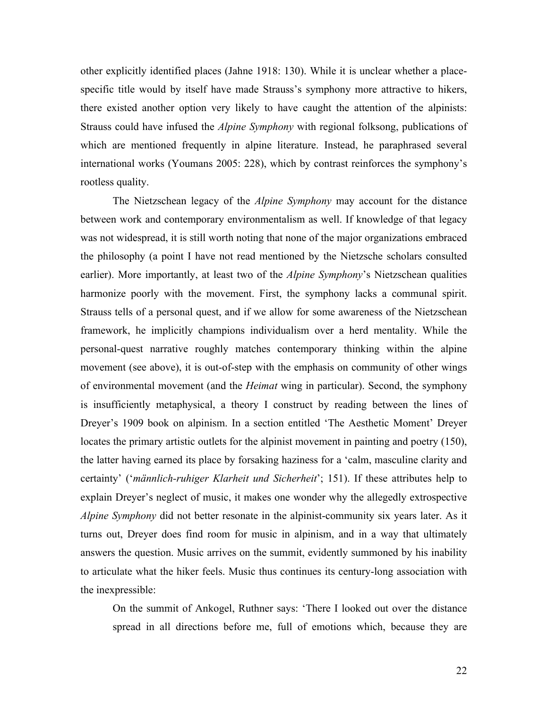other explicitly identified places (Jahne 1918: 130). While it is unclear whether a placespecific title would by itself have made Strauss's symphony more attractive to hikers, there existed another option very likely to have caught the attention of the alpinists: Strauss could have infused the *Alpine Symphony* with regional folksong, publications of which are mentioned frequently in alpine literature. Instead, he paraphrased several international works (Youmans 2005: 228), which by contrast reinforces the symphony's rootless quality.

The Nietzschean legacy of the *Alpine Symphony* may account for the distance between work and contemporary environmentalism as well. If knowledge of that legacy was not widespread, it is still worth noting that none of the major organizations embraced the philosophy (a point I have not read mentioned by the Nietzsche scholars consulted earlier). More importantly, at least two of the *Alpine Symphony*'s Nietzschean qualities harmonize poorly with the movement. First, the symphony lacks a communal spirit. Strauss tells of a personal quest, and if we allow for some awareness of the Nietzschean framework, he implicitly champions individualism over a herd mentality. While the personal-quest narrative roughly matches contemporary thinking within the alpine movement (see above), it is out-of-step with the emphasis on community of other wings of environmental movement (and the *Heimat* wing in particular). Second, the symphony is insufficiently metaphysical, a theory I construct by reading between the lines of Dreyer's 1909 book on alpinism. In a section entitled 'The Aesthetic Moment' Dreyer locates the primary artistic outlets for the alpinist movement in painting and poetry (150), the latter having earned its place by forsaking haziness for a 'calm, masculine clarity and certainty' ('*männlich-ruhiger Klarheit und Sicherheit*'; 151). If these attributes help to explain Dreyer's neglect of music, it makes one wonder why the allegedly extrospective *Alpine Symphony* did not better resonate in the alpinist-community six years later. As it turns out, Dreyer does find room for music in alpinism, and in a way that ultimately answers the question. Music arrives on the summit, evidently summoned by his inability to articulate what the hiker feels. Music thus continues its century-long association with the inexpressible:

On the summit of Ankogel, Ruthner says: 'There I looked out over the distance spread in all directions before me, full of emotions which, because they are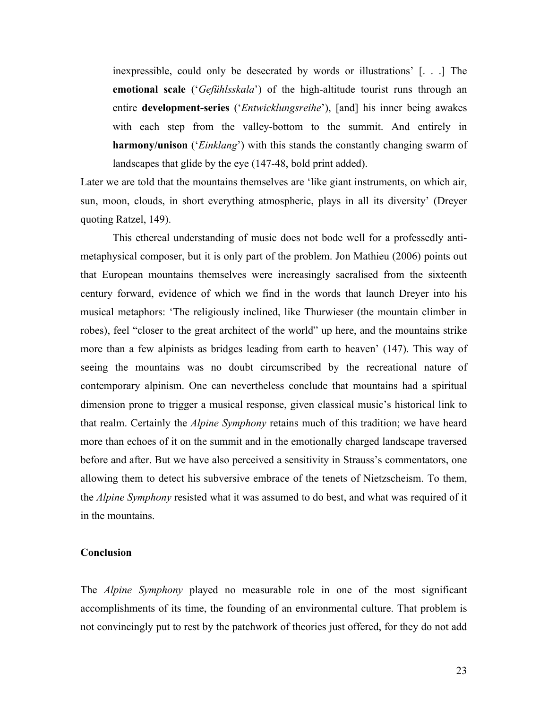inexpressible, could only be desecrated by words or illustrations' [. . .] The **emotional scale** ('*Gefühlsskala*') of the high-altitude tourist runs through an entire **development-series** ('*Entwicklungsreihe*'), [and] his inner being awakes with each step from the valley-bottom to the summit. And entirely in **harmony/unison** ('*Einklang*') with this stands the constantly changing swarm of landscapes that glide by the eye (147-48, bold print added).

Later we are told that the mountains themselves are 'like giant instruments, on which air, sun, moon, clouds, in short everything atmospheric, plays in all its diversity' (Dreyer quoting Ratzel, 149).

This ethereal understanding of music does not bode well for a professedly antimetaphysical composer, but it is only part of the problem. Jon Mathieu (2006) points out that European mountains themselves were increasingly sacralised from the sixteenth century forward, evidence of which we find in the words that launch Dreyer into his musical metaphors: 'The religiously inclined, like Thurwieser (the mountain climber in robes), feel "closer to the great architect of the world" up here, and the mountains strike more than a few alpinists as bridges leading from earth to heaven' (147). This way of seeing the mountains was no doubt circumscribed by the recreational nature of contemporary alpinism. One can nevertheless conclude that mountains had a spiritual dimension prone to trigger a musical response, given classical music's historical link to that realm. Certainly the *Alpine Symphony* retains much of this tradition; we have heard more than echoes of it on the summit and in the emotionally charged landscape traversed before and after. But we have also perceived a sensitivity in Strauss's commentators, one allowing them to detect his subversive embrace of the tenets of Nietzscheism. To them, the *Alpine Symphony* resisted what it was assumed to do best, and what was required of it in the mountains.

# **Conclusion**

The *Alpine Symphony* played no measurable role in one of the most significant accomplishments of its time, the founding of an environmental culture. That problem is not convincingly put to rest by the patchwork of theories just offered, for they do not add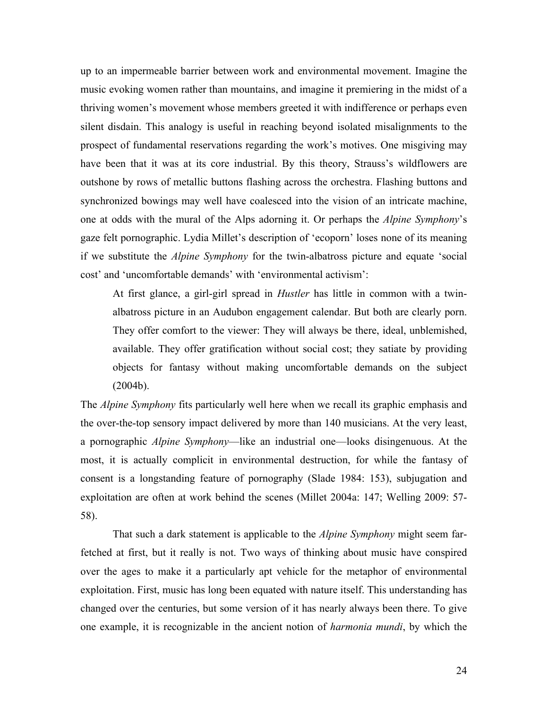up to an impermeable barrier between work and environmental movement. Imagine the music evoking women rather than mountains, and imagine it premiering in the midst of a thriving women's movement whose members greeted it with indifference or perhaps even silent disdain. This analogy is useful in reaching beyond isolated misalignments to the prospect of fundamental reservations regarding the work's motives. One misgiving may have been that it was at its core industrial. By this theory, Strauss's wildflowers are outshone by rows of metallic buttons flashing across the orchestra. Flashing buttons and synchronized bowings may well have coalesced into the vision of an intricate machine, one at odds with the mural of the Alps adorning it. Or perhaps the *Alpine Symphony*'s gaze felt pornographic. Lydia Millet's description of 'ecoporn' loses none of its meaning if we substitute the *Alpine Symphony* for the twin-albatross picture and equate 'social cost' and 'uncomfortable demands' with 'environmental activism':

At first glance, a girl-girl spread in *Hustler* has little in common with a twinalbatross picture in an Audubon engagement calendar. But both are clearly porn. They offer comfort to the viewer: They will always be there, ideal, unblemished, available. They offer gratification without social cost; they satiate by providing objects for fantasy without making uncomfortable demands on the subject (2004b).

The *Alpine Symphony* fits particularly well here when we recall its graphic emphasis and the over-the-top sensory impact delivered by more than 140 musicians. At the very least, a pornographic *Alpine Symphony*—like an industrial one—looks disingenuous. At the most, it is actually complicit in environmental destruction, for while the fantasy of consent is a longstanding feature of pornography (Slade 1984: 153), subjugation and exploitation are often at work behind the scenes (Millet 2004a: 147; Welling 2009: 57- 58).

That such a dark statement is applicable to the *Alpine Symphony* might seem farfetched at first, but it really is not. Two ways of thinking about music have conspired over the ages to make it a particularly apt vehicle for the metaphor of environmental exploitation. First, music has long been equated with nature itself. This understanding has changed over the centuries, but some version of it has nearly always been there. To give one example, it is recognizable in the ancient notion of *harmonia mundi*, by which the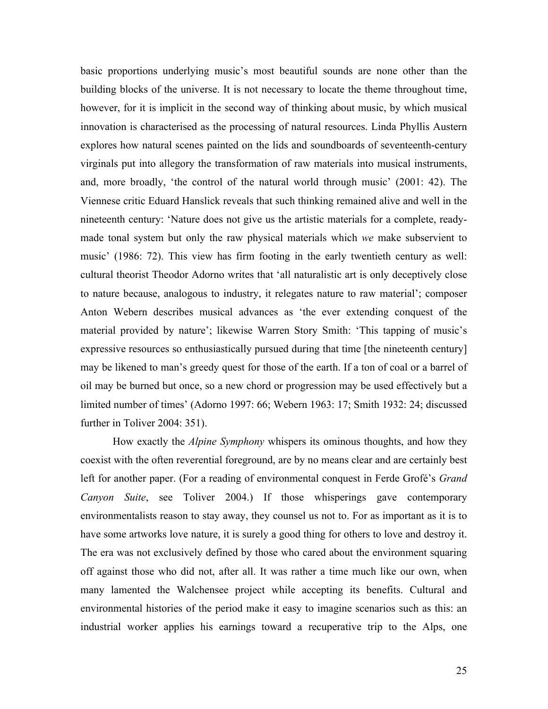basic proportions underlying music's most beautiful sounds are none other than the building blocks of the universe. It is not necessary to locate the theme throughout time, however, for it is implicit in the second way of thinking about music, by which musical innovation is characterised as the processing of natural resources. Linda Phyllis Austern explores how natural scenes painted on the lids and soundboards of seventeenth-century virginals put into allegory the transformation of raw materials into musical instruments, and, more broadly, 'the control of the natural world through music' (2001: 42). The Viennese critic Eduard Hanslick reveals that such thinking remained alive and well in the nineteenth century: 'Nature does not give us the artistic materials for a complete, readymade tonal system but only the raw physical materials which *we* make subservient to music' (1986: 72). This view has firm footing in the early twentieth century as well: cultural theorist Theodor Adorno writes that 'all naturalistic art is only deceptively close to nature because, analogous to industry, it relegates nature to raw material'; composer Anton Webern describes musical advances as 'the ever extending conquest of the material provided by nature'; likewise Warren Story Smith: 'This tapping of music's expressive resources so enthusiastically pursued during that time [the nineteenth century] may be likened to man's greedy quest for those of the earth. If a ton of coal or a barrel of oil may be burned but once, so a new chord or progression may be used effectively but a limited number of times' (Adorno 1997: 66; Webern 1963: 17; Smith 1932: 24; discussed further in Toliver 2004: 351).

How exactly the *Alpine Symphony* whispers its ominous thoughts, and how they coexist with the often reverential foreground, are by no means clear and are certainly best left for another paper. (For a reading of environmental conquest in Ferde Grofé's *Grand Canyon Suite*, see Toliver 2004.) If those whisperings gave contemporary environmentalists reason to stay away, they counsel us not to. For as important as it is to have some artworks love nature, it is surely a good thing for others to love and destroy it. The era was not exclusively defined by those who cared about the environment squaring off against those who did not, after all. It was rather a time much like our own, when many lamented the Walchensee project while accepting its benefits. Cultural and environmental histories of the period make it easy to imagine scenarios such as this: an industrial worker applies his earnings toward a recuperative trip to the Alps, one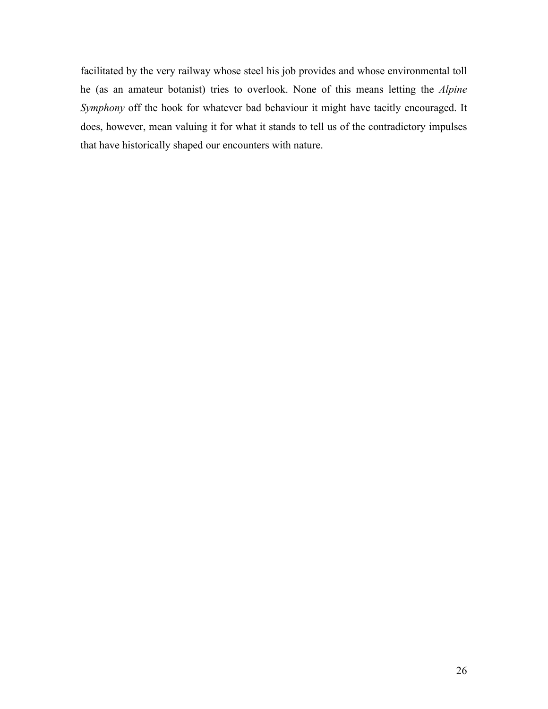facilitated by the very railway whose steel his job provides and whose environmental toll he (as an amateur botanist) tries to overlook. None of this means letting the *Alpine Symphony* off the hook for whatever bad behaviour it might have tacitly encouraged. It does, however, mean valuing it for what it stands to tell us of the contradictory impulses that have historically shaped our encounters with nature.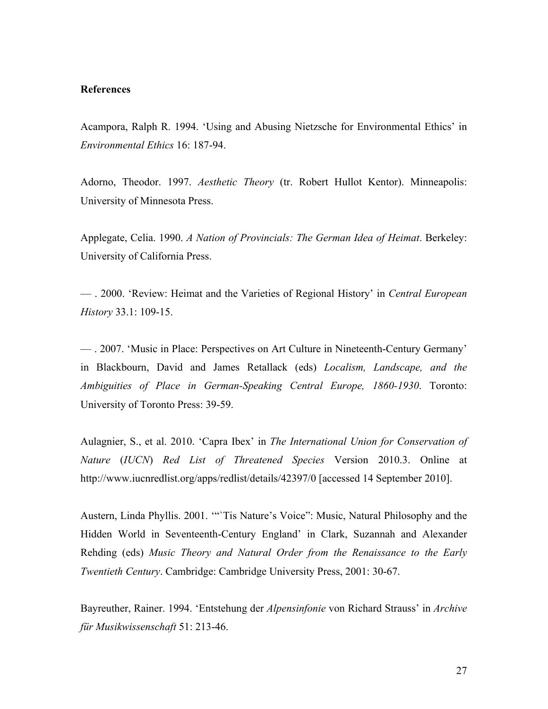# **References**

Acampora, Ralph R. 1994. 'Using and Abusing Nietzsche for Environmental Ethics' in *Environmental Ethics* 16: 187-94.

Adorno, Theodor. 1997. *Aesthetic Theory* (tr. Robert Hullot Kentor). Minneapolis: University of Minnesota Press.

Applegate, Celia. 1990. *A Nation of Provincials: The German Idea of Heimat*. Berkeley: University of California Press.

— . 2000. 'Review: Heimat and the Varieties of Regional History' in *Central European History* 33.1: 109-15.

— . 2007. 'Music in Place: Perspectives on Art Culture in Nineteenth-Century Germany' in Blackbourn, David and James Retallack (eds) *Localism, Landscape, and the Ambiguities of Place in German-Speaking Central Europe, 1860-1930*. Toronto: University of Toronto Press: 39-59.

Aulagnier, S., et al. 2010. 'Capra Ibex' in *The International Union for Conservation of Nature* (*IUCN*) *Red List of Threatened Species* Version 2010.3. Online at http://www.iucnredlist.org/apps/redlist/details/42397/0 [accessed 14 September 2010].

Austern, Linda Phyllis. 2001. '"`Tis Nature's Voice": Music, Natural Philosophy and the Hidden World in Seventeenth-Century England' in Clark, Suzannah and Alexander Rehding (eds) *Music Theory and Natural Order from the Renaissance to the Early Twentieth Century*. Cambridge: Cambridge University Press, 2001: 30-67.

Bayreuther, Rainer. 1994. 'Entstehung der *Alpensinfonie* von Richard Strauss' in *Archive für Musikwissenschaft* 51: 213-46.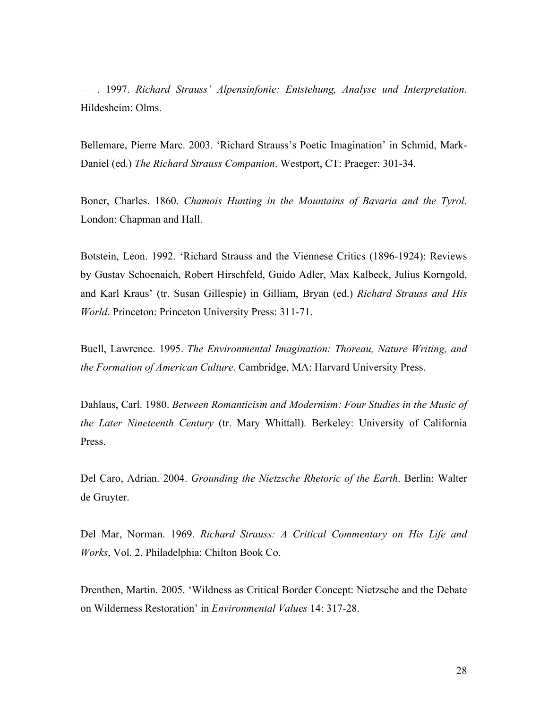— . 1997. *Richard Strauss' Alpensinfonie: Entstehung, Analyse und Interpretation*. Hildesheim: Olms.

Bellemare, Pierre Marc. 2003. 'Richard Strauss's Poetic Imagination' in Schmid, Mark-Daniel (ed.) *The Richard Strauss Companion*. Westport, CT: Praeger: 301-34.

Boner, Charles. 1860. *Chamois Hunting in the Mountains of Bavaria and the Tyrol*. London: Chapman and Hall.

Botstein, Leon. 1992. 'Richard Strauss and the Viennese Critics (1896-1924): Reviews by Gustav Schoenaich, Robert Hirschfeld, Guido Adler, Max Kalbeck, Julius Korngold, and Karl Kraus' (tr. Susan Gillespie) in Gilliam, Bryan (ed.) *Richard Strauss and His World*. Princeton: Princeton University Press: 311-71.

Buell, Lawrence. 1995. *The Environmental Imagination: Thoreau, Nature Writing, and the Formation of American Culture*. Cambridge, MA: Harvard University Press.

Dahlaus, Carl. 1980. *Between Romanticism and Modernism: Four Studies in the Music of the Later Nineteenth Century* (tr. Mary Whittall)*.* Berkeley: University of California Press.

Del Caro, Adrian. 2004. *Grounding the Nietzsche Rhetoric of the Earth*. Berlin: Walter de Gruyter.

Del Mar, Norman. 1969. *Richard Strauss: A Critical Commentary on His Life and Works*, Vol. 2. Philadelphia: Chilton Book Co.

Drenthen, Martin. 2005. 'Wildness as Critical Border Concept: Nietzsche and the Debate on Wilderness Restoration' in *Environmental Values* 14: 317-28.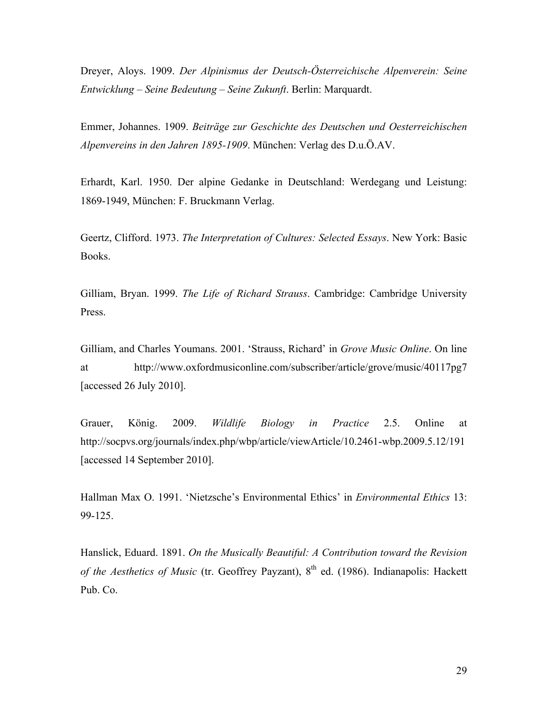Dreyer, Aloys. 1909. *Der Alpinismus der Deutsch-Österreichische Alpenverein: Seine Entwicklung – Seine Bedeutung – Seine Zukunft*. Berlin: Marquardt.

Emmer, Johannes. 1909. *Beiträge zur Geschichte des Deutschen und Oesterreichischen Alpenvereins in den Jahren 1895-1909*. München: Verlag des D.u.Ö.AV.

Erhardt, Karl. 1950. Der alpine Gedanke in Deutschland: Werdegang und Leistung: 1869-1949, München: F. Bruckmann Verlag.

Geertz, Clifford. 1973. *The Interpretation of Cultures: Selected Essays*. New York: Basic Books.

Gilliam, Bryan. 1999. *The Life of Richard Strauss*. Cambridge: Cambridge University Press.

Gilliam, and Charles Youmans. 2001. 'Strauss, Richard' in *Grove Music Online*. On line at http://www.oxfordmusiconline.com/subscriber/article/grove/music/40117pg7 [accessed 26 July 2010].

Grauer, König. 2009. *Wildlife Biology in Practice* 2.5. Online at http://socpvs.org/journals/index.php/wbp/article/viewArticle/10.2461-wbp.2009.5.12/191 [accessed 14 September 2010].

Hallman Max O. 1991. 'Nietzsche's Environmental Ethics' in *Environmental Ethics* 13: 99-125.

Hanslick, Eduard. 1891. *On the Musically Beautiful: A Contribution toward the Revision of the Aesthetics of Music* (tr. Geoffrey Payzant), 8<sup>th</sup> ed. (1986). Indianapolis: Hackett Pub. Co.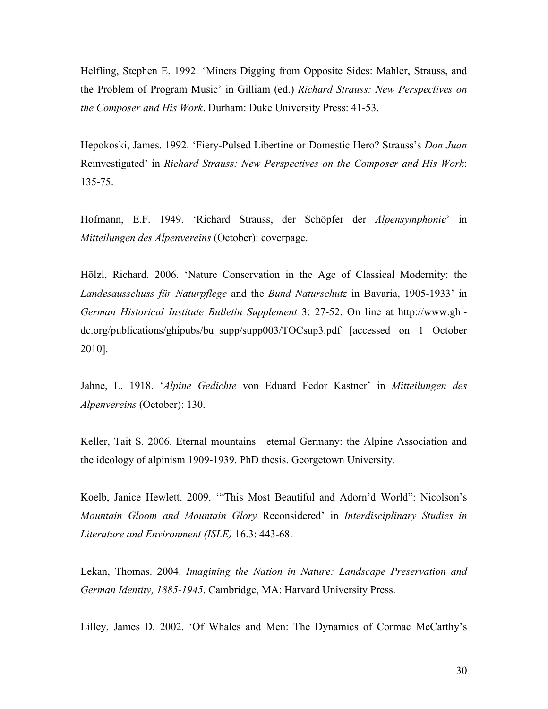Helfling, Stephen E. 1992. 'Miners Digging from Opposite Sides: Mahler, Strauss, and the Problem of Program Music' in Gilliam (ed.) *Richard Strauss: New Perspectives on the Composer and His Work*. Durham: Duke University Press: 41-53.

Hepokoski, James. 1992. 'Fiery-Pulsed Libertine or Domestic Hero? Strauss's *Don Juan* Reinvestigated' in *Richard Strauss: New Perspectives on the Composer and His Work*: 135-75.

Hofmann, E.F. 1949. 'Richard Strauss, der Schöpfer der *Alpensymphonie*' in *Mitteilungen des Alpenvereins* (October): coverpage.

Hölzl, Richard. 2006. 'Nature Conservation in the Age of Classical Modernity: the *Landesausschuss für Naturpflege* and the *Bund Naturschutz* in Bavaria, 1905-1933' in *German Historical Institute Bulletin Supplement* 3: 27-52. On line at http://www.ghidc.org/publications/ghipubs/bu\_supp/supp003/TOCsup3.pdf [accessed on 1 October 2010].

Jahne, L. 1918. '*Alpine Gedichte* von Eduard Fedor Kastner' in *Mitteilungen des Alpenvereins* (October): 130.

Keller, Tait S. 2006. Eternal mountains—eternal Germany: the Alpine Association and the ideology of alpinism 1909-1939. PhD thesis. Georgetown University.

Koelb, Janice Hewlett. 2009. '"This Most Beautiful and Adorn'd World": Nicolson's *Mountain Gloom and Mountain Glory* Reconsidered' in *Interdisciplinary Studies in Literature and Environment (ISLE)* 16.3: 443-68.

Lekan, Thomas. 2004. *Imagining the Nation in Nature: Landscape Preservation and German Identity, 1885-1945*. Cambridge, MA: Harvard University Press.

Lilley, James D. 2002. 'Of Whales and Men: The Dynamics of Cormac McCarthy's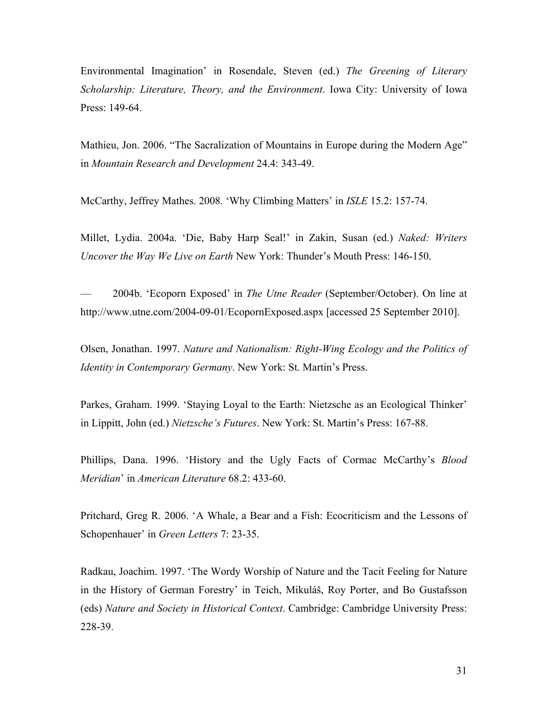Environmental Imagination' in Rosendale, Steven (ed.) *The Greening of Literary Scholarship: Literature, Theory, and the Environment*. Iowa City: University of Iowa Press: 149-64.

Mathieu, Jon. 2006. "The Sacralization of Mountains in Europe during the Modern Age" in *Mountain Research and Development* 24.4: 343-49.

McCarthy, Jeffrey Mathes. 2008. 'Why Climbing Matters' in *ISLE* 15.2: 157-74.

Millet, Lydia. 2004a. 'Die, Baby Harp Seal!' in Zakin, Susan (ed.) *Naked: Writers Uncover the Way We Live on Earth* New York: Thunder's Mouth Press: 146-150.

— 2004b. 'Ecoporn Exposed' in *The Utne Reader* (September/October). On line at http://www.utne.com/2004-09-01/EcopornExposed.aspx [accessed 25 September 2010].

Olsen, Jonathan. 1997. *Nature and Nationalism: Right-Wing Ecology and the Politics of Identity in Contemporary Germany*. New York: St. Martin's Press.

Parkes, Graham. 1999. 'Staying Loyal to the Earth: Nietzsche as an Ecological Thinker' in Lippitt, John (ed.) *Nietzsche's Futures*. New York: St. Martin's Press: 167-88.

Phillips, Dana. 1996. 'History and the Ugly Facts of Cormac McCarthy's *Blood Meridian*' in *American Literature* 68.2: 433-60.

Pritchard, Greg R. 2006. 'A Whale, a Bear and a Fish: Ecocriticism and the Lessons of Schopenhauer' in *Green Letters* 7: 23-35.

Radkau, Joachim. 1997. 'The Wordy Worship of Nature and the Tacit Feeling for Nature in the History of German Forestry' in Teich, Mikuláš, Roy Porter, and Bo Gustafsson (eds) *Nature and Society in Historical Context*. Cambridge: Cambridge University Press: 228-39.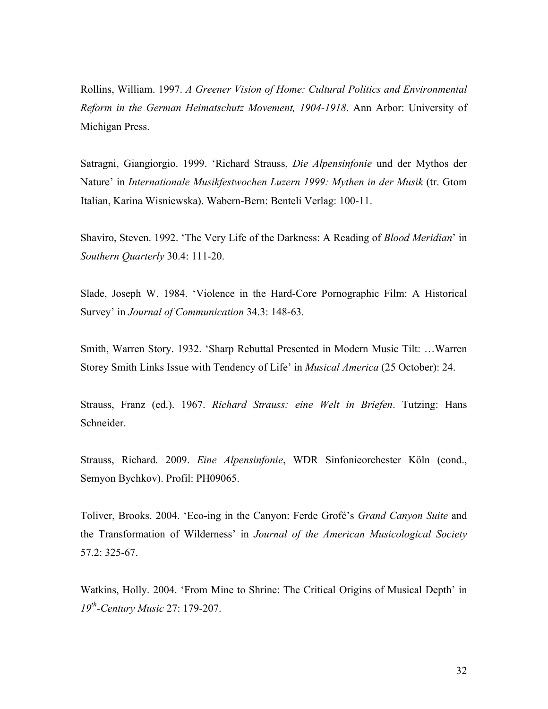Rollins, William. 1997. *A Greener Vision of Home: Cultural Politics and Environmental Reform in the German Heimatschutz Movement, 1904-1918*. Ann Arbor: University of Michigan Press.

Satragni, Giangiorgio. 1999. 'Richard Strauss, *Die Alpensinfonie* und der Mythos der Nature' in *Internationale Musikfestwochen Luzern 1999: Mythen in der Musik* (tr. Gtom Italian, Karina Wisniewska). Wabern-Bern: Benteli Verlag: 100-11.

Shaviro, Steven. 1992. 'The Very Life of the Darkness: A Reading of *Blood Meridian*' in *Southern Quarterly* 30.4: 111-20.

Slade, Joseph W. 1984. 'Violence in the Hard-Core Pornographic Film: A Historical Survey' in *Journal of Communication* 34.3: 148-63.

Smith, Warren Story. 1932. 'Sharp Rebuttal Presented in Modern Music Tilt: …Warren Storey Smith Links Issue with Tendency of Life' in *Musical America* (25 October): 24.

Strauss, Franz (ed.). 1967. *Richard Strauss: eine Welt in Briefen*. Tutzing: Hans Schneider.

Strauss, Richard. 2009. *Eine Alpensinfonie*, WDR Sinfonieorchester Köln (cond., Semyon Bychkov). Profil: PH09065.

Toliver, Brooks. 2004. 'Eco-ing in the Canyon: Ferde Grofé's *Grand Canyon Suite* and the Transformation of Wilderness' in *Journal of the American Musicological Society*  57.2: 325-67.

Watkins, Holly. 2004. 'From Mine to Shrine: The Critical Origins of Musical Depth' in *19th-Century Music* 27: 179-207.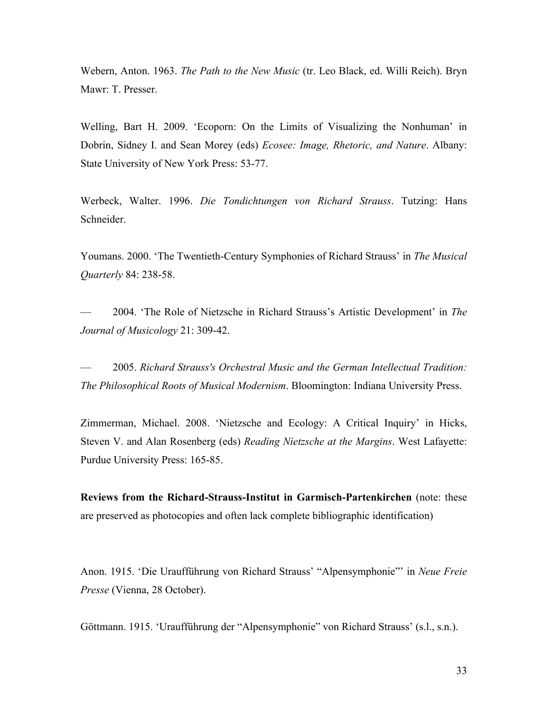Webern, Anton. 1963. *The Path to the New Music* (tr. Leo Black, ed. Willi Reich). Bryn Mawr: T. Presser.

Welling, Bart H. 2009. 'Ecoporn: On the Limits of Visualizing the Nonhuman' in Dobrin, Sidney I. and Sean Morey (eds) *Ecosee: Image, Rhetoric, and Nature*. Albany: State University of New York Press: 53-77.

Werbeck, Walter. 1996. *Die Tondichtungen von Richard Strauss*. Tutzing: Hans Schneider.

Youmans. 2000. 'The Twentieth-Century Symphonies of Richard Strauss' in *The Musical Quarterly* 84: 238-58.

— 2004. 'The Role of Nietzsche in Richard Strauss's Artistic Development' in *The Journal of Musicology* 21: 309-42.

— 2005. *Richard Strauss's Orchestral Music and the German Intellectual Tradition: The Philosophical Roots of Musical Modernism*. Bloomington: Indiana University Press.

Zimmerman, Michael. 2008. 'Nietzsche and Ecology: A Critical Inquiry' in Hicks, Steven V. and Alan Rosenberg (eds) *Reading Nietzsche at the Margins*. West Lafayette: Purdue University Press: 165-85.

**Reviews from the Richard-Strauss-Institut in Garmisch-Partenkirchen** (note: these are preserved as photocopies and often lack complete bibliographic identification)

Anon. 1915. 'Die Uraufführung von Richard Strauss' "Alpensymphonie"' in *Neue Freie Presse* (Vienna, 28 October).

Göttmann. 1915. 'Uraufführung der "Alpensymphonie" von Richard Strauss' (s.l., s.n.).